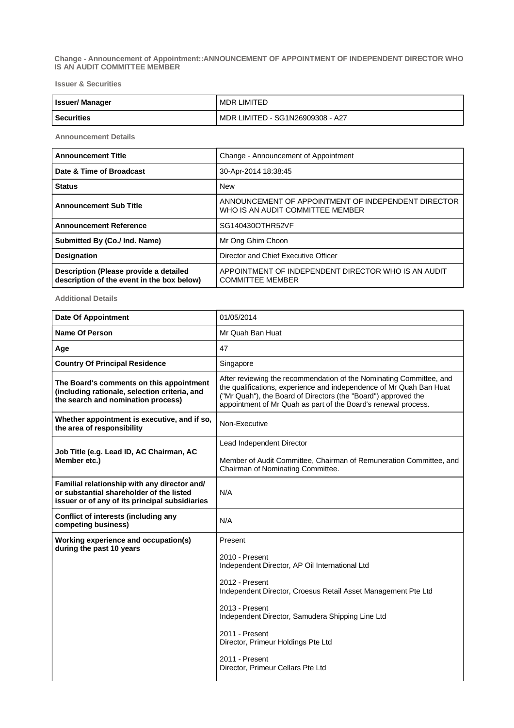**Change - Announcement of Appointment::ANNOUNCEMENT OF APPOINTMENT OF INDEPENDENT DIRECTOR WHO IS AN AUDIT COMMITTEE MEMBER**

**Issuer & Securities**

| <b>Issuer/Manager</b> | MDR LIMITED                      |
|-----------------------|----------------------------------|
| <b>Securities</b>     | MDR LIMITED - SG1N26909308 - A27 |

**Announcement Details**

| <b>Announcement Title</b>                                                            | Change - Announcement of Appointment                                                    |  |
|--------------------------------------------------------------------------------------|-----------------------------------------------------------------------------------------|--|
| Date & Time of Broadcast                                                             | 30-Apr-2014 18:38:45                                                                    |  |
| <b>Status</b>                                                                        | <b>New</b>                                                                              |  |
| <b>Announcement Sub Title</b>                                                        | ANNOUNCEMENT OF APPOINTMENT OF INDEPENDENT DIRECTOR<br>WHO IS AN AUDIT COMMITTEE MEMBER |  |
| <b>Announcement Reference</b>                                                        | SG140430OTHR52VF                                                                        |  |
| Submitted By (Co./ Ind. Name)                                                        | Mr Ong Ghim Choon                                                                       |  |
| <b>Designation</b>                                                                   | Director and Chief Executive Officer                                                    |  |
| Description (Please provide a detailed<br>description of the event in the box below) | APPOINTMENT OF INDEPENDENT DIRECTOR WHO IS AN AUDIT<br><b>COMMITTEE MEMBER</b>          |  |

**Additional Details**

| <b>Date Of Appointment</b>                                                                                                                 | 01/05/2014                                                                                                                                                                                                                                                                     |  |
|--------------------------------------------------------------------------------------------------------------------------------------------|--------------------------------------------------------------------------------------------------------------------------------------------------------------------------------------------------------------------------------------------------------------------------------|--|
| <b>Name Of Person</b>                                                                                                                      | Mr Quah Ban Huat                                                                                                                                                                                                                                                               |  |
| Age                                                                                                                                        | 47                                                                                                                                                                                                                                                                             |  |
| <b>Country Of Principal Residence</b>                                                                                                      | Singapore                                                                                                                                                                                                                                                                      |  |
| The Board's comments on this appointment<br>(including rationale, selection criteria, and<br>the search and nomination process)            | After reviewing the recommendation of the Nominating Committee, and<br>the qualifications, experience and independence of Mr Quah Ban Huat<br>("Mr Quah"), the Board of Directors (the "Board") approved the<br>appointment of Mr Quah as part of the Board's renewal process. |  |
| Whether appointment is executive, and if so,<br>the area of responsibility                                                                 | Non-Executive                                                                                                                                                                                                                                                                  |  |
|                                                                                                                                            | Lead Independent Director                                                                                                                                                                                                                                                      |  |
| Job Title (e.g. Lead ID, AC Chairman, AC<br>Member etc.)                                                                                   | Member of Audit Committee, Chairman of Remuneration Committee, and<br>Chairman of Nominating Committee.                                                                                                                                                                        |  |
| Familial relationship with any director and/<br>or substantial shareholder of the listed<br>issuer or of any of its principal subsidiaries | N/A                                                                                                                                                                                                                                                                            |  |
| Conflict of interests (including any<br>competing business)                                                                                | N/A                                                                                                                                                                                                                                                                            |  |
| Working experience and occupation(s)                                                                                                       | Present                                                                                                                                                                                                                                                                        |  |
| during the past 10 years                                                                                                                   | 2010 - Present<br>Independent Director, AP Oil International Ltd                                                                                                                                                                                                               |  |
|                                                                                                                                            | 2012 - Present<br>Independent Director, Croesus Retail Asset Management Pte Ltd                                                                                                                                                                                                |  |
|                                                                                                                                            | 2013 - Present<br>Independent Director, Samudera Shipping Line Ltd                                                                                                                                                                                                             |  |
|                                                                                                                                            | 2011 - Present<br>Director, Primeur Holdings Pte Ltd                                                                                                                                                                                                                           |  |
|                                                                                                                                            | 2011 - Present<br>Director, Primeur Cellars Pte Ltd                                                                                                                                                                                                                            |  |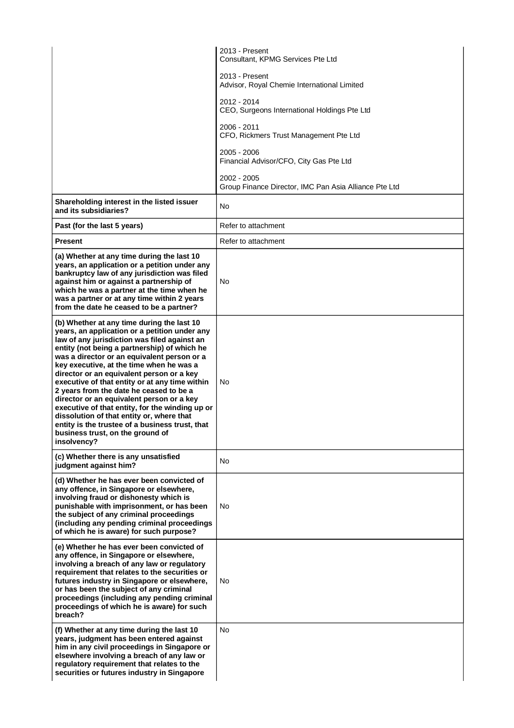|                                                                                                                                                                                                                                                                                                                                                                                                                                                                                                                                                                                                                                                                                     | 2013 - Present<br>Consultant, KPMG Services Pte Ltd                  |
|-------------------------------------------------------------------------------------------------------------------------------------------------------------------------------------------------------------------------------------------------------------------------------------------------------------------------------------------------------------------------------------------------------------------------------------------------------------------------------------------------------------------------------------------------------------------------------------------------------------------------------------------------------------------------------------|----------------------------------------------------------------------|
|                                                                                                                                                                                                                                                                                                                                                                                                                                                                                                                                                                                                                                                                                     | 2013 - Present<br>Advisor, Royal Chemie International Limited        |
|                                                                                                                                                                                                                                                                                                                                                                                                                                                                                                                                                                                                                                                                                     | 2012 - 2014<br>CEO, Surgeons International Holdings Pte Ltd          |
|                                                                                                                                                                                                                                                                                                                                                                                                                                                                                                                                                                                                                                                                                     | 2006 - 2011<br>CFO, Rickmers Trust Management Pte Ltd                |
|                                                                                                                                                                                                                                                                                                                                                                                                                                                                                                                                                                                                                                                                                     | 2005 - 2006<br>Financial Advisor/CFO, City Gas Pte Ltd               |
|                                                                                                                                                                                                                                                                                                                                                                                                                                                                                                                                                                                                                                                                                     | 2002 - 2005<br>Group Finance Director, IMC Pan Asia Alliance Pte Ltd |
| Shareholding interest in the listed issuer<br>and its subsidiaries?                                                                                                                                                                                                                                                                                                                                                                                                                                                                                                                                                                                                                 | No                                                                   |
| Past (for the last 5 years)                                                                                                                                                                                                                                                                                                                                                                                                                                                                                                                                                                                                                                                         | Refer to attachment                                                  |
| <b>Present</b>                                                                                                                                                                                                                                                                                                                                                                                                                                                                                                                                                                                                                                                                      | Refer to attachment                                                  |
| (a) Whether at any time during the last 10<br>years, an application or a petition under any<br>bankruptcy law of any jurisdiction was filed<br>against him or against a partnership of<br>which he was a partner at the time when he<br>was a partner or at any time within 2 years<br>from the date he ceased to be a partner?                                                                                                                                                                                                                                                                                                                                                     | No.                                                                  |
| (b) Whether at any time during the last 10<br>years, an application or a petition under any<br>law of any jurisdiction was filed against an<br>entity (not being a partnership) of which he<br>was a director or an equivalent person or a<br>key executive, at the time when he was a<br>director or an equivalent person or a key<br>executive of that entity or at any time within<br>2 years from the date he ceased to be a<br>director or an equivalent person or a key<br>executive of that entity, for the winding up or<br>dissolution of that entity or, where that<br>entity is the trustee of a business trust, that<br>business trust, on the ground of<br>insolvency? | No.                                                                  |
| (c) Whether there is any unsatisfied<br>judgment against him?                                                                                                                                                                                                                                                                                                                                                                                                                                                                                                                                                                                                                       | No.                                                                  |
| (d) Whether he has ever been convicted of<br>any offence, in Singapore or elsewhere,<br>involving fraud or dishonesty which is<br>punishable with imprisonment, or has been<br>the subject of any criminal proceedings<br>(including any pending criminal proceedings<br>of which he is aware) for such purpose?                                                                                                                                                                                                                                                                                                                                                                    | No.                                                                  |
| (e) Whether he has ever been convicted of<br>any offence, in Singapore or elsewhere,<br>involving a breach of any law or regulatory<br>requirement that relates to the securities or<br>futures industry in Singapore or elsewhere,<br>or has been the subject of any criminal<br>proceedings (including any pending criminal<br>proceedings of which he is aware) for such<br>breach?                                                                                                                                                                                                                                                                                              | No.                                                                  |
| (f) Whether at any time during the last 10<br>years, judgment has been entered against<br>him in any civil proceedings in Singapore or<br>elsewhere involving a breach of any law or<br>regulatory requirement that relates to the<br>securities or futures industry in Singapore                                                                                                                                                                                                                                                                                                                                                                                                   | No.                                                                  |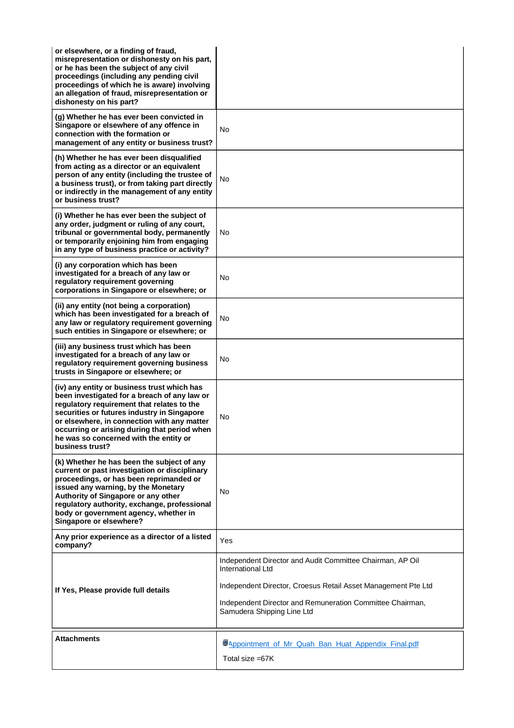| or elsewhere, or a finding of fraud,<br>misrepresentation or dishonesty on his part,<br>or he has been the subject of any civil<br>proceedings (including any pending civil<br>proceedings of which he is aware) involving<br>an allegation of fraud, misrepresentation or<br>dishonesty on his part?                                                |                                                                                         |
|------------------------------------------------------------------------------------------------------------------------------------------------------------------------------------------------------------------------------------------------------------------------------------------------------------------------------------------------------|-----------------------------------------------------------------------------------------|
| (g) Whether he has ever been convicted in<br>Singapore or elsewhere of any offence in<br>connection with the formation or<br>management of any entity or business trust?                                                                                                                                                                             | No                                                                                      |
| (h) Whether he has ever been disqualified<br>from acting as a director or an equivalent<br>person of any entity (including the trustee of<br>a business trust), or from taking part directly<br>or indirectly in the management of any entity<br>or business trust?                                                                                  | No                                                                                      |
| (i) Whether he has ever been the subject of<br>any order, judgment or ruling of any court,<br>tribunal or governmental body, permanently<br>or temporarily enjoining him from engaging<br>in any type of business practice or activity?                                                                                                              | No.                                                                                     |
| (i) any corporation which has been<br>investigated for a breach of any law or<br>regulatory requirement governing<br>corporations in Singapore or elsewhere; or                                                                                                                                                                                      | No                                                                                      |
| (ii) any entity (not being a corporation)<br>which has been investigated for a breach of<br>any law or regulatory requirement governing<br>such entities in Singapore or elsewhere; or                                                                                                                                                               | No                                                                                      |
| (iii) any business trust which has been<br>investigated for a breach of any law or<br>regulatory requirement governing business<br>trusts in Singapore or elsewhere; or                                                                                                                                                                              | No                                                                                      |
| (iv) any entity or business trust which has<br>been investigated for a breach of any law or<br>regulatory requirement that relates to the<br>securities or futures industry in Singapore<br>or elsewhere, in connection with any matter<br>occurring or arising during that period when<br>he was so concerned with the entity or<br>business trust? | No                                                                                      |
| (k) Whether he has been the subject of any<br>current or past investigation or disciplinary<br>proceedings, or has been reprimanded or<br>issued any warning, by the Monetary<br>Authority of Singapore or any other<br>regulatory authority, exchange, professional<br>body or government agency, whether in<br>Singapore or elsewhere?             | No                                                                                      |
| Any prior experience as a director of a listed<br>company?                                                                                                                                                                                                                                                                                           | Yes                                                                                     |
|                                                                                                                                                                                                                                                                                                                                                      | Independent Director and Audit Committee Chairman, AP Oil<br>International Ltd          |
| If Yes, Please provide full details                                                                                                                                                                                                                                                                                                                  | Independent Director, Croesus Retail Asset Management Pte Ltd                           |
|                                                                                                                                                                                                                                                                                                                                                      | Independent Director and Remuneration Committee Chairman,<br>Samudera Shipping Line Ltd |
| <b>Attachments</b>                                                                                                                                                                                                                                                                                                                                   | Appointment of Mr Quah Ban Huat Appendix Final.pdf                                      |
|                                                                                                                                                                                                                                                                                                                                                      | Total size =67K                                                                         |